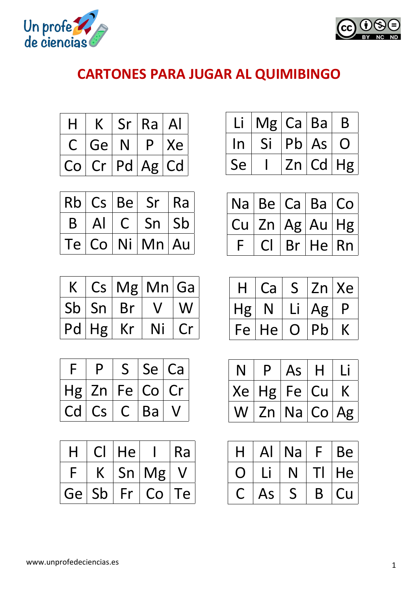



## **CARTONES PARA JUGAR AL QUIMIBINGO**

| Н             |                 | Sr | Ra       | $\mathsf{A}$ |
|---------------|-----------------|----|----------|--------------|
| $\mathcal{C}$ | Ge <sup>1</sup> | N  | P        | Xe           |
| Co            | Cr              |    | Pd Ag Cd |              |

|              |               |                | $ Rb $ $Cs$ $ Be $ $Sr$ | Ra |
|--------------|---------------|----------------|-------------------------|----|
| $\mathsf{B}$ | $\mathsf{Al}$ | C <sup>1</sup> | $Sn \mid Sb$            |    |
|              |               |                | Te Co Ni Mn Au          |    |

|             |    | $Cs$   Mg   Mn   Ga |    |
|-------------|----|---------------------|----|
| Sb Sn       | Br | $\mathcal{U}$       | W  |
| $Pd Hg $ Kr |    | Ni                  | Cr |

| F. | D                      |    |       | Se Ca |
|----|------------------------|----|-------|-------|
|    | $Hg$ Zn                |    | Fe Co | Cr    |
| Cd | $\mathsf{C}\mathsf{s}$ | Ċ. | Ba    |       |

| H  |    | He |    | Ra |
|----|----|----|----|----|
|    |    | Sn | Mg |    |
| Ge | Sb | Fr | Co | Гe |

|    | Mg Ca Ba |    |       | B              |
|----|----------|----|-------|----------------|
| In | Si       |    | Pb As | $\overline{O}$ |
| Se |          | Zn |       | Cd Hg          |

| $ $ Na $ $ Be $ $ Ca $ $ Ba $ $ Co |                |                        |  |
|------------------------------------|----------------|------------------------|--|
|                                    |                | Cu   Zn   Ag   Au   Hg |  |
|                                    | C <sub>1</sub> | Br He Rn               |  |

| H  | Ca | S      | Zn | Xe |
|----|----|--------|----|----|
| Hg |    | $\Box$ | Ag | D  |
| Fe | He | U      | Pb |    |

| N. | D        | As          | H  |  |
|----|----------|-------------|----|--|
|    | Xe Hg Fe |             | Cu |  |
| W  |          | Zn Na Co Ag |    |  |

| $\mathsf{A}\mathsf{l}$ | Na |   | <b>Be</b> |
|------------------------|----|---|-----------|
|                        |    |   | He        |
| As                     |    | Β | Cu        |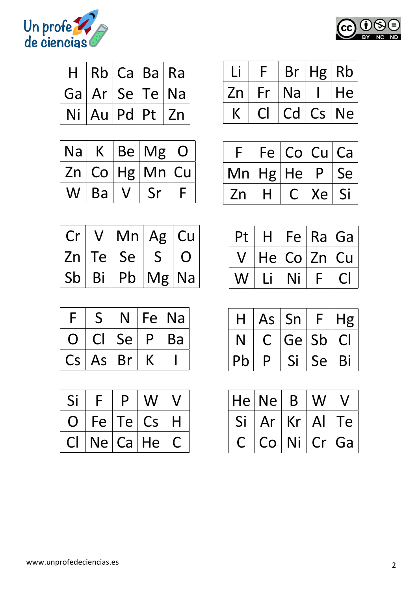



| H. |    |         | Rb Ca Ba Ra    |
|----|----|---------|----------------|
|    |    |         | Ga Ar Se Te Na |
| Ni | Au | $Pd$ Pt | Zn             |

| Na | $\mathsf{K}^-$ | Be Mg          |  |
|----|----------------|----------------|--|
|    |                | Zn Co Hg Mn Cu |  |
|    | Ba             |                |  |

| Cr |    | $V$ $ \textsf{Mn} $ Ag $ \textsf{Cu} $ |            |                |
|----|----|----------------------------------------|------------|----------------|
|    |    | Zn Te Se S                             |            | $\overline{O}$ |
| Sb | Bi |                                        | Pb   Mg Na |                |

| c  |    |    | Fe | Na |
|----|----|----|----|----|
|    |    | Se | D  | Ba |
| Cs | As | Br |    |    |

| Si | Г   | D   |           |   |
|----|-----|-----|-----------|---|
| U  | Fe  | Te' | <b>Cs</b> | H |
|    | Ne' |     | Ca He     |   |

|    |    | Br | Hg Rb |    |
|----|----|----|-------|----|
| Zn | Fr | Na |       | He |
|    |    | Cd | Cs    | Ne |

|    |          | Fe Co Cu Ca |              |    |
|----|----------|-------------|--------------|----|
|    | Mn Hg He |             | $\mathsf{P}$ | Se |
| Zn | H        | $\bigcap$   | Xe           | Si |

| Pt | H  |             | Fe Ra Ga |
|----|----|-------------|----------|
|    |    | He Co Zn Cu |          |
|    | LI | Ni          |          |

|    | As | Sn    | F  | Hg       |
|----|----|-------|----|----------|
| N  | C. | Ge Sb |    | <b>C</b> |
| Pb | D  | Si    | Se | Bi       |

|    | He Ne | B  | W            |    |
|----|-------|----|--------------|----|
| Si | Ar    | Kr | $\mathsf{A}$ | Te |
|    | Co    | Ni | Cr           | Ga |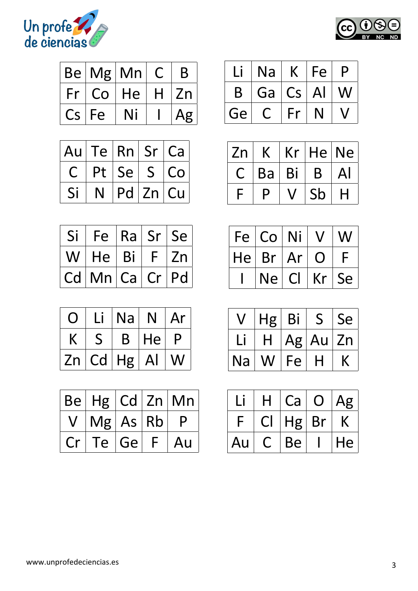



|               | Be Mg Mn |    |   | B  |
|---------------|----------|----|---|----|
| Fr            | Co       | He | H | Zn |
| $\mathsf{Cs}$ | Fe       |    |   |    |

| Au           |   |                  |          | Te   Rn   Sr   Ca |
|--------------|---|------------------|----------|-------------------|
| $\mathsf{C}$ |   | Pt   Se   S   Co |          |                   |
| Si           | N |                  | Pd Zn Cu |                   |

| Si '           |                |              | Fe   Ra   Sr   Se |
|----------------|----------------|--------------|-------------------|
| W <sub>1</sub> | He Bi          | $\mathsf{F}$ | Zn                |
|                | Cd Mn Ca Cr Pd |              |                   |

|    | Lİ. | <b>Na</b> | N  | Ar |
|----|-----|-----------|----|----|
|    |     | B         | He | P  |
| Zn | Cd  | Hg        | Al | W  |

|    |                    |         |    | $ Be $ Hg $ Cd $ Zn $ Mn $ |
|----|--------------------|---------|----|----------------------------|
|    | $V$   Mg   As   Rb |         |    | P                          |
| Cr |                    | Te   Ge | F. | Au                         |

|    | Na |                        | Fe | D |
|----|----|------------------------|----|---|
| B  | Ga | $\mathsf{C}\mathsf{s}$ | Al |   |
| Ge |    | Fr                     |    |   |

| Zn |    | Kr | He | Ne <sub>1</sub> |
|----|----|----|----|-----------------|
|    | Ba | Bi | B  | Al              |
|    | D  |    | Sb | Н               |

| Fe | Co Ni    |    | $\bm{V}$       | W  |
|----|----------|----|----------------|----|
|    | He Br Ar |    | $\overline{O}$ |    |
|    | Ne l     | Cl | Kr             | Se |

|    | Hg | Bi | $\mathsf{S}$ | Se |
|----|----|----|--------------|----|
|    | H. |    | Ag Au        | Zn |
| Na | W  | Fe | Н            |    |

|    | Ca | 【 】 | Ag |
|----|----|-----|----|
|    | Hg | Br  |    |
| Au | Be |     | He |